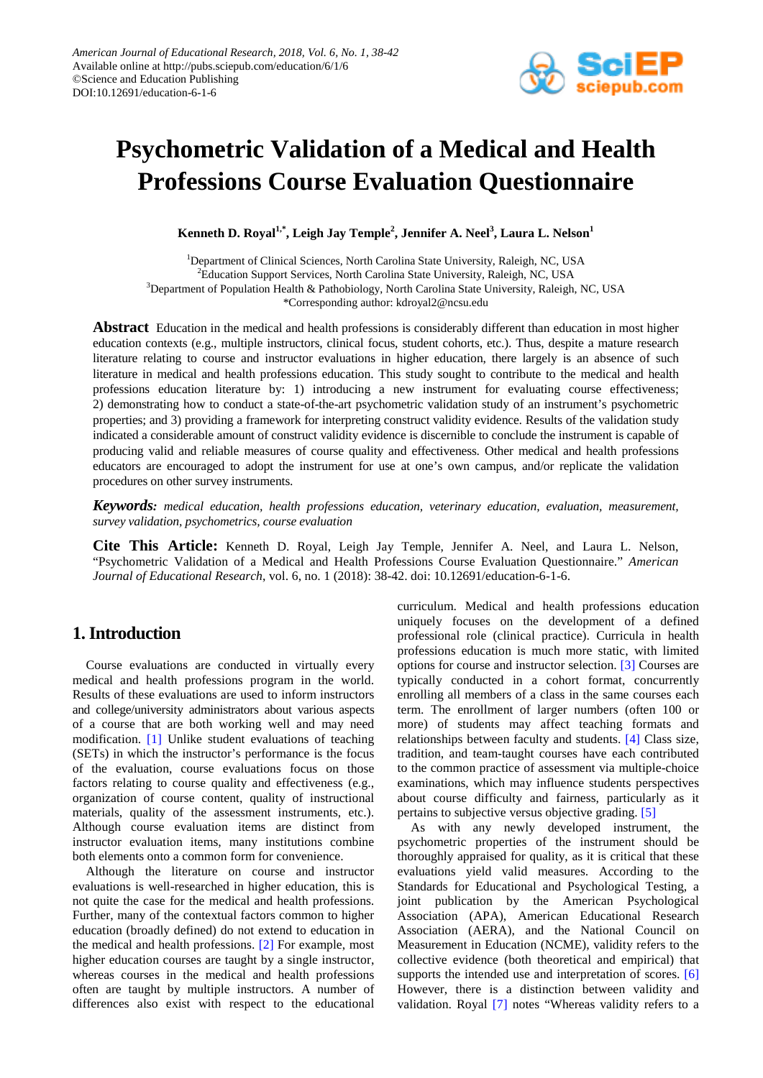

# **Psychometric Validation of a Medical and Health Professions Course Evaluation Questionnaire**

 $\bf{K}$ enneth  $\bf{D}$ . Royal $^{1,*}$ , Leigh Jay Temple $^2$ , Jennifer A. Neel $^3$ , Laura L. Nelson $^1$ 

<sup>1</sup>Department of Clinical Sciences, North Carolina State University, Raleigh, NC, USA <sup>2</sup>Education Support Services, North Carolina State University, Raleigh, NC, USA <sup>3</sup>Department of Population Health & Pathobiology, North Carolina State University, Raleigh, NC, USA \*Corresponding author: kdroyal2@ncsu.edu

**Abstract** Education in the medical and health professions is considerably different than education in most higher education contexts (e.g., multiple instructors, clinical focus, student cohorts, etc.). Thus, despite a mature research literature relating to course and instructor evaluations in higher education, there largely is an absence of such literature in medical and health professions education. This study sought to contribute to the medical and health professions education literature by: 1) introducing a new instrument for evaluating course effectiveness; 2) demonstrating how to conduct a state-of-the-art psychometric validation study of an instrument's psychometric properties; and 3) providing a framework for interpreting construct validity evidence. Results of the validation study indicated a considerable amount of construct validity evidence is discernible to conclude the instrument is capable of producing valid and reliable measures of course quality and effectiveness. Other medical and health professions educators are encouraged to adopt the instrument for use at one's own campus, and/or replicate the validation procedures on other survey instruments.

*Keywords: medical education, health professions education, veterinary education, evaluation, measurement, survey validation, psychometrics, course evaluation*

**Cite This Article:** Kenneth D. Royal, Leigh Jay Temple, Jennifer A. Neel, and Laura L. Nelson, "Psychometric Validation of a Medical and Health Professions Course Evaluation Questionnaire." *American Journal of Educational Research*, vol. 6, no. 1 (2018): 38-42. doi: 10.12691/education-6-1-6.

# **1. Introduction**

Course evaluations are conducted in virtually every medical and health professions program in the world. Results of these evaluations are used to inform instructors and college/university administrators about various aspects of a course that are both working well and may need modification. [\[1\]](#page-4-0) Unlike student evaluations of teaching (SETs) in which the instructor's performance is the focus of the evaluation, course evaluations focus on those factors relating to course quality and effectiveness (e.g., organization of course content, quality of instructional materials, quality of the assessment instruments, etc.). Although course evaluation items are distinct from instructor evaluation items, many institutions combine both elements onto a common form for convenience.

Although the literature on course and instructor evaluations is well-researched in higher education, this is not quite the case for the medical and health professions. Further, many of the contextual factors common to higher education (broadly defined) do not extend to education in the medical and health professions. [\[2\]](#page-4-1) For example, most higher education courses are taught by a single instructor, whereas courses in the medical and health professions often are taught by multiple instructors. A number of differences also exist with respect to the educational curriculum. Medical and health professions education uniquely focuses on the development of a defined professional role (clinical practice). Curricula in health professions education is much more static, with limited options for course and instructor selection. [\[3\]](#page-4-2) Courses are typically conducted in a cohort format, concurrently enrolling all members of a class in the same courses each term. The enrollment of larger numbers (often 100 or more) of students may affect teaching formats and relationships between faculty and students. [\[4\]](#page-4-3) Class size, tradition, and team-taught courses have each contributed to the common practice of assessment via multiple-choice examinations, which may influence students perspectives about course difficulty and fairness, particularly as it pertains to subjective versus objective grading. [\[5\]](#page-4-4)

As with any newly developed instrument, the psychometric properties of the instrument should be thoroughly appraised for quality, as it is critical that these evaluations yield valid measures. According to the Standards for Educational and Psychological Testing, a joint publication by the American Psychological Association (APA), American Educational Research Association (AERA), and the National Council on Measurement in Education (NCME), validity refers to the collective evidence (both theoretical and empirical) that supports the intended use and interpretation of scores. [\[6\]](#page-4-5) However, there is a distinction between validity and validation. Royal [\[7\]](#page-4-6) notes "Whereas validity refers to a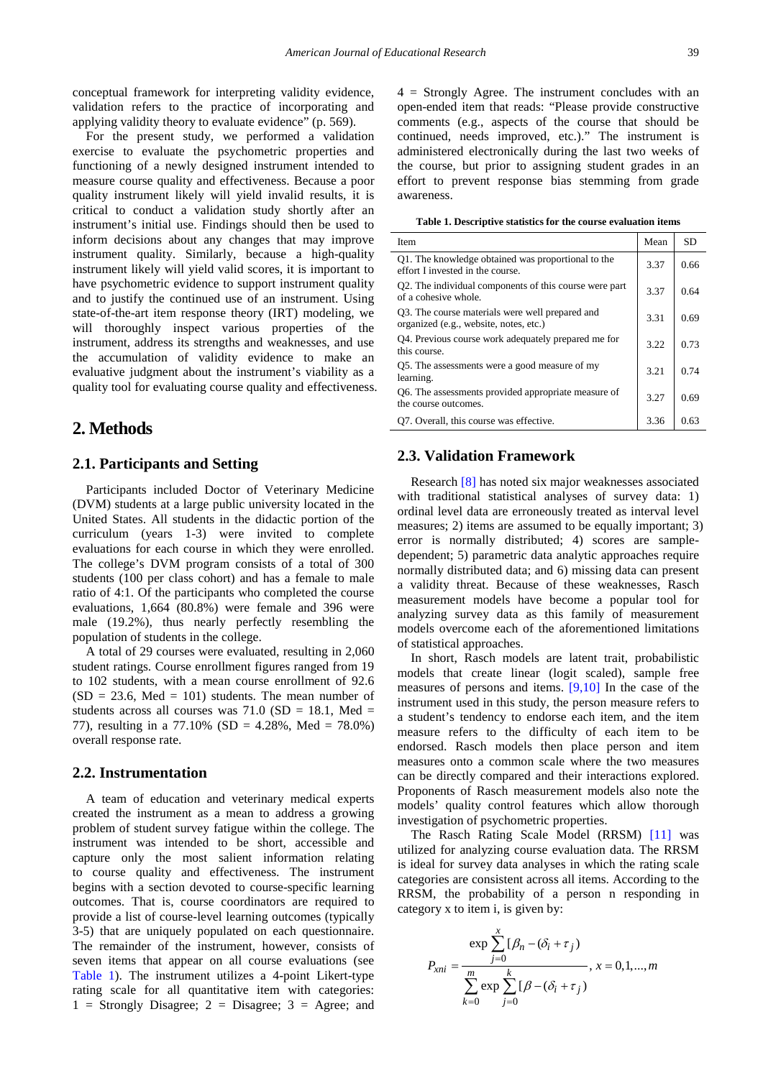conceptual framework for interpreting validity evidence, validation refers to the practice of incorporating and applying validity theory to evaluate evidence" (p. 569).

For the present study, we performed a validation exercise to evaluate the psychometric properties and functioning of a newly designed instrument intended to measure course quality and effectiveness. Because a poor quality instrument likely will yield invalid results, it is critical to conduct a validation study shortly after an instrument's initial use. Findings should then be used to inform decisions about any changes that may improve instrument quality. Similarly, because a high-quality instrument likely will yield valid scores, it is important to have psychometric evidence to support instrument quality and to justify the continued use of an instrument. Using state-of-the-art item response theory (IRT) modeling, we will thoroughly inspect various properties of the instrument, address its strengths and weaknesses, and use the accumulation of validity evidence to make an evaluative judgment about the instrument's viability as a quality tool for evaluating course quality and effectiveness.

## **2. Methods**

#### **2.1. Participants and Setting**

Participants included Doctor of Veterinary Medicine (DVM) students at a large public university located in the United States. All students in the didactic portion of the curriculum (years 1-3) were invited to complete evaluations for each course in which they were enrolled. The college's DVM program consists of a total of 300 students (100 per class cohort) and has a female to male ratio of 4:1. Of the participants who completed the course evaluations, 1,664 (80.8%) were female and 396 were male (19.2%), thus nearly perfectly resembling the population of students in the college.

A total of 29 courses were evaluated, resulting in 2,060 student ratings. Course enrollment figures ranged from 19 to 102 students, with a mean course enrollment of 92.6  $(SD = 23.6, Med = 101)$  students. The mean number of students across all courses was  $71.0$  (SD = 18.1, Med = 77), resulting in a 77.10% (SD = 4.28%, Med = 78.0%) overall response rate.

## **2.2. Instrumentation**

A team of education and veterinary medical experts created the instrument as a mean to address a growing problem of student survey fatigue within the college. The instrument was intended to be short, accessible and capture only the most salient information relating to course quality and effectiveness. The instrument begins with a section devoted to course-specific learning outcomes. That is, course coordinators are required to provide a list of course-level learning outcomes (typically 3-5) that are uniquely populated on each questionnaire. The remainder of the instrument, however, consists of seven items that appear on all course evaluations (see [Table 1\)](#page-1-0). The instrument utilizes a 4-point Likert-type rating scale for all quantitative item with categories:  $1 =$  Strongly Disagree;  $2 =$  Disagree;  $3 =$  Agree; and 4 = Strongly Agree. The instrument concludes with an open-ended item that reads: "Please provide constructive comments (e.g., aspects of the course that should be continued, needs improved, etc.)." The instrument is administered electronically during the last two weeks of the course, but prior to assigning student grades in an effort to prevent response bias stemming from grade awareness.

**Table 1. Descriptive statistics for the course evaluation items**

<span id="page-1-0"></span>

| Item                                                                                      | Mean | <b>SD</b> |
|-------------------------------------------------------------------------------------------|------|-----------|
| Q1. The knowledge obtained was proportional to the<br>effort I invested in the course.    | 3.37 | 0.66      |
| Q2. The individual components of this course were part<br>of a cohesive whole.            | 3.37 | 0.64      |
| Q3. The course materials were well prepared and<br>organized (e.g., website, notes, etc.) | 3.31 | 0.69      |
| Q4. Previous course work adequately prepared me for<br>this course.                       | 3.22 | 0.73      |
| Q5. The assessments were a good measure of my<br>learning.                                | 3.21 | 0.74      |
| Q6. The assessments provided appropriate measure of<br>the course outcomes.               | 3.27 | 0.69      |
| Q7. Overall, this course was effective.                                                   | 3.36 | 0.63      |

#### **2.3. Validation Framework**

Research [\[8\]](#page-4-7) has noted six major weaknesses associated with traditional statistical analyses of survey data: 1) ordinal level data are erroneously treated as interval level measures; 2) items are assumed to be equally important; 3) error is normally distributed; 4) scores are sampledependent; 5) parametric data analytic approaches require normally distributed data; and 6) missing data can present a validity threat. Because of these weaknesses, Rasch measurement models have become a popular tool for analyzing survey data as this family of measurement models overcome each of the aforementioned limitations of statistical approaches.

In short, Rasch models are latent trait, probabilistic models that create linear (logit scaled), sample free measures of persons and items. [\[9,10\]](#page-4-8) In the case of the instrument used in this study, the person measure refers to a student's tendency to endorse each item, and the item measure refers to the difficulty of each item to be endorsed. Rasch models then place person and item measures onto a common scale where the two measures can be directly compared and their interactions explored. Proponents of Rasch measurement models also note the models' quality control features which allow thorough investigation of psychometric properties.

The Rasch Rating Scale Model (RRSM) [\[11\]](#page-4-9) was utilized for analyzing course evaluation data. The RRSM is ideal for survey data analyses in which the rating scale categories are consistent across all items. According to the RRSM, the probability of a person n responding in category x to item i, is given by:

$$
P_{xni} = \frac{\exp \sum_{j=0}^{x} [\beta_n - (\delta_i + \tau_j)]}{\sum_{k=0}^{m} \exp \sum_{j=0}^{k} [\beta - (\delta_i + \tau_j)]}, x = 0, 1, ..., m
$$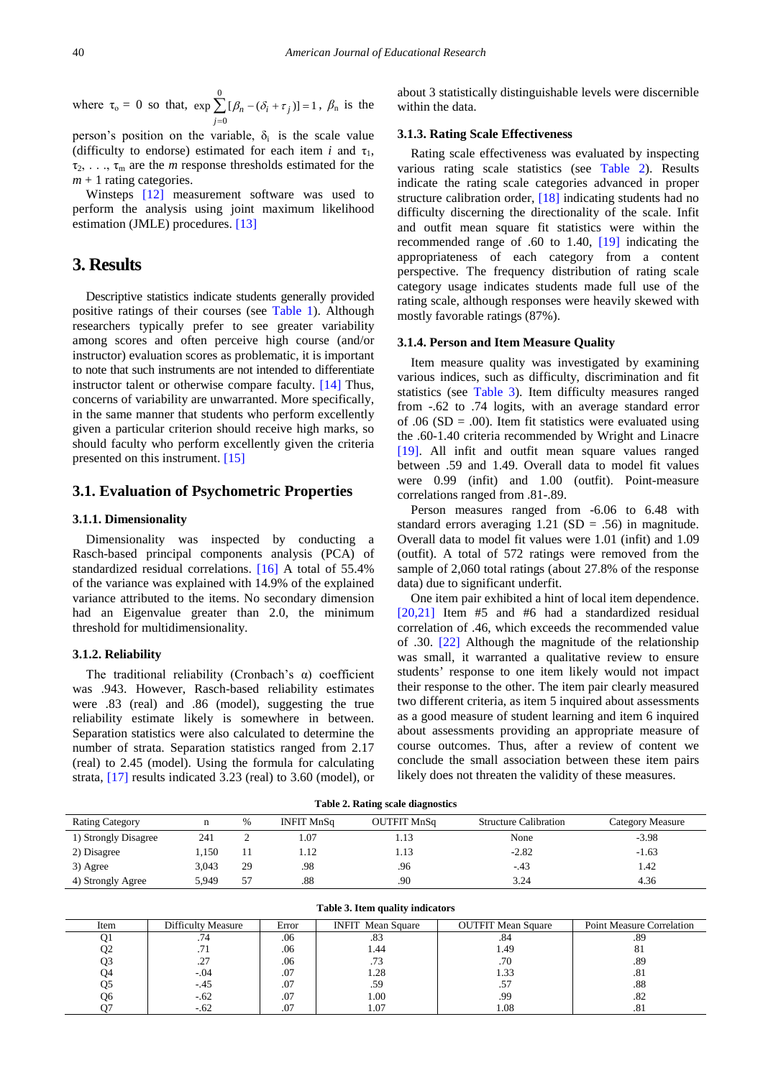where  $\tau_0 = 0$  so that,  $\exp \sum_{n=1}^{\infty}$  $\mathbf{0}$  $\exp \sum [\beta_n - (\delta_i + \tau_j)] = 1$ *j*  $\beta_n - (\delta_i + \tau)$ =  $\sum [\beta_n - (\delta_i + \tau_j)] = 1$ ,  $\beta_n$  is the

person's position on the variable,  $\delta_i$  is the scale value (difficulty to endorse) estimated for each item *i* and  $\tau_1$ ,  $\tau_2, \ldots, \tau_m$  are the *m* response thresholds estimated for the  $m + 1$  rating categories.

Winsteps [\[12\]](#page-4-10) measurement software was used to perform the analysis using joint maximum likelihood estimation (JMLE) procedures. [\[13\]](#page-4-11)

## **3. Results**

Descriptive statistics indicate students generally provided positive ratings of their courses (see [Table 1\)](#page-1-0). Although researchers typically prefer to see greater variability among scores and often perceive high course (and/or instructor) evaluation scores as problematic, it is important to note that such instruments are not intended to differentiate instructor talent or otherwise compare faculty. [\[14\]](#page-4-12) Thus, concerns of variability are unwarranted. More specifically, in the same manner that students who perform excellently given a particular criterion should receive high marks, so should faculty who perform excellently given the criteria presented on this instrument[. \[15\]](#page-4-13)

## **3.1. Evaluation of Psychometric Properties**

#### **3.1.1. Dimensionality**

Dimensionality was inspected by conducting a Rasch-based principal components analysis (PCA) of standardized residual correlations. [\[16\]](#page-4-14) A total of 55.4% of the variance was explained with 14.9% of the explained variance attributed to the items. No secondary dimension had an Eigenvalue greater than 2.0, the minimum threshold for multidimensionality.

#### **3.1.2. Reliability**

The traditional reliability (Cronbach's α) coefficient was .943. However, Rasch-based reliability estimates were .83 (real) and .86 (model), suggesting the true reliability estimate likely is somewhere in between. Separation statistics were also calculated to determine the number of strata. Separation statistics ranged from 2.17 (real) to 2.45 (model). Using the formula for calculating strata, [\[17\]](#page-4-15) results indicated 3.23 (real) to 3.60 (model), or about 3 statistically distinguishable levels were discernible within the data.

#### **3.1.3. Rating Scale Effectiveness**

Rating scale effectiveness was evaluated by inspecting various rating scale statistics (see [Table 2\)](#page-2-0). Results indicate the rating scale categories advanced in proper structure calibration order, [\[18\]](#page-4-16) indicating students had no difficulty discerning the directionality of the scale. Infit and outfit mean square fit statistics were within the recommended range of .60 to 1.40, [\[19\]](#page-4-17) indicating the appropriateness of each category from a content perspective. The frequency distribution of rating scale category usage indicates students made full use of the rating scale, although responses were heavily skewed with mostly favorable ratings (87%).

#### **3.1.4. Person and Item Measure Quality**

Item measure quality was investigated by examining various indices, such as difficulty, discrimination and fit statistics (see [Table 3\)](#page-2-1). Item difficulty measures ranged from -.62 to .74 logits, with an average standard error of .06 ( $SD = .00$ ). Item fit statistics were evaluated using the .60-1.40 criteria recommended by Wright and Linacre [\[19\].](#page-4-17) All infit and outfit mean square values ranged between .59 and 1.49. Overall data to model fit values were 0.99 (infit) and 1.00 (outfit). Point-measure correlations ranged from .81-.89.

Person measures ranged from -6.06 to 6.48 with standard errors averaging  $1.21$  (SD = .56) in magnitude. Overall data to model fit values were 1.01 (infit) and 1.09 (outfit). A total of 572 ratings were removed from the sample of 2,060 total ratings (about 27.8% of the response data) due to significant underfit.

One item pair exhibited a hint of local item dependence. [\[20,21\]](#page-4-18) Item #5 and #6 had a standardized residual correlation of .46, which exceeds the recommended value of .30. [\[22\]](#page-4-19) Although the magnitude of the relationship was small, it warranted a qualitative review to ensure students' response to one item likely would not impact their response to the other. The item pair clearly measured two different criteria, as item 5 inquired about assessments as a good measure of student learning and item 6 inquired about assessments providing an appropriate measure of course outcomes. Thus, after a review of content we conclude the small association between these item pairs likely does not threaten the validity of these measures.

**Table 2. Rating scale diagnostics**

<span id="page-2-0"></span>

|                        |       |    |                   | $\sim$             |                              |                  |
|------------------------|-------|----|-------------------|--------------------|------------------------------|------------------|
| <b>Rating Category</b> |       | %  | <b>INFIT MnSq</b> | <b>OUTFIT MnSq</b> | <b>Structure Calibration</b> | Category Measure |
| 1) Strongly Disagree   | 241   |    | 1.07              | 1.13               | None                         | $-3.98$          |
| 2) Disagree            | 1.150 |    | 1.12              | 1.13               | $-2.82$                      | $-1.63$          |
| 3) Agree               | 3.043 | 29 | .98               | .96                | $-.43$                       | 1.42             |
| 4) Strongly Agree      | 5.949 | 57 | .88               | .90                | 3.24                         | 4.36             |

<span id="page-2-1"></span>

| Table 3. Item quality indicators |                    |       |                          |                           |                                  |  |  |  |
|----------------------------------|--------------------|-------|--------------------------|---------------------------|----------------------------------|--|--|--|
| Item                             | Difficulty Measure | Error | <b>INFIT</b> Mean Square | <b>OUTFIT Mean Square</b> | <b>Point Measure Correlation</b> |  |  |  |
| Q1                               | .74                | .06   | .83                      | .84                       | .89                              |  |  |  |
| O <sub>2</sub>                   | .71                | .06   | 1.44                     | 1.49                      | -81                              |  |  |  |
| O3                               |                    | .06   | .73                      | .70                       | .89                              |  |  |  |
| J4                               | $-.04$             | .07   | 1.28                     | 1.33                      | .81                              |  |  |  |
| Q5                               | $-.45$             | .07   | .59                      |                           | .88                              |  |  |  |
| Ο6                               | $-.62$             | .07   | 1.00                     | .99                       | .82                              |  |  |  |
|                                  | $-.62$             | .07   | 1.07                     | .08                       | .81                              |  |  |  |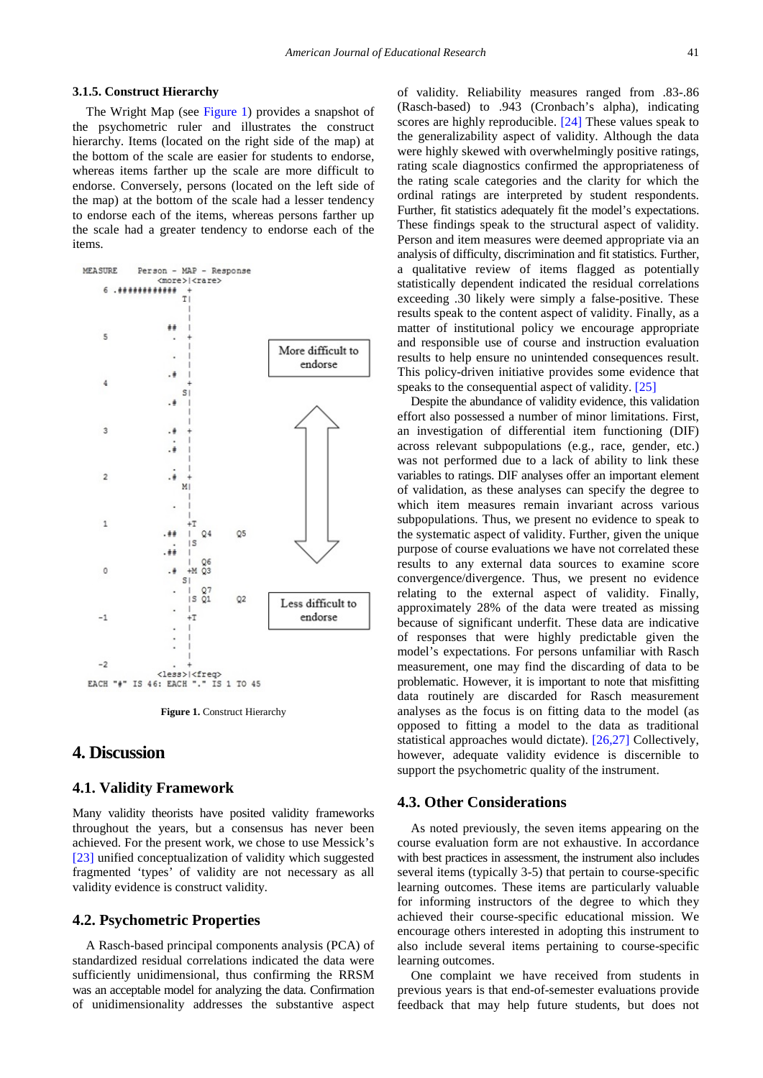#### **3.1.5. Construct Hierarchy**

The Wright Map (see [Figure 1\)](#page-3-0) provides a snapshot of the psychometric ruler and illustrates the construct hierarchy. Items (located on the right side of the map) at the bottom of the scale are easier for students to endorse, whereas items farther up the scale are more difficult to endorse. Conversely, persons (located on the left side of the map) at the bottom of the scale had a lesser tendency to endorse each of the items, whereas persons farther up the scale had a greater tendency to endorse each of the items.

<span id="page-3-0"></span>

**Figure 1. Construct Hierarchy** 

## **4. Discussion**

#### **4.1. Validity Framework**

Many validity theorists have posited validity frameworks throughout the years, but a consensus has never been achieved. For the present work, we chose to use Messick's [\[23\]](#page-4-20) unified conceptualization of validity which suggested fragmented 'types' of validity are not necessary as all validity evidence is construct validity.

## **4.2. Psychometric Properties**

A Rasch-based principal components analysis (PCA) of standardized residual correlations indicated the data were sufficiently unidimensional, thus confirming the RRSM was an acceptable model for analyzing the data. Confirmation of unidimensionality addresses the substantive aspect

of validity. Reliability measures ranged from .83-.86 (Rasch-based) to .943 (Cronbach's alpha), indicating scores are highly reproducible. [\[24\]](#page-4-21) These values speak to the generalizability aspect of validity. Although the data were highly skewed with overwhelmingly positive ratings, rating scale diagnostics confirmed the appropriateness of the rating scale categories and the clarity for which the ordinal ratings are interpreted by student respondents. Further, fit statistics adequately fit the model's expectations. These findings speak to the structural aspect of validity. Person and item measures were deemed appropriate via an analysis of difficulty, discrimination and fit statistics. Further, a qualitative review of items flagged as potentially statistically dependent indicated the residual correlations exceeding .30 likely were simply a false-positive. These results speak to the content aspect of validity. Finally, as a matter of institutional policy we encourage appropriate and responsible use of course and instruction evaluation results to help ensure no unintended consequences result. This policy-driven initiative provides some evidence that speaks to the consequential aspect of validity[. \[25\]](#page-4-22)

Despite the abundance of validity evidence, this validation effort also possessed a number of minor limitations. First, an investigation of differential item functioning (DIF) across relevant subpopulations (e.g., race, gender, etc.) was not performed due to a lack of ability to link these variables to ratings. DIF analyses offer an important element of validation, as these analyses can specify the degree to which item measures remain invariant across various subpopulations. Thus, we present no evidence to speak to the systematic aspect of validity. Further, given the unique purpose of course evaluations we have not correlated these results to any external data sources to examine score convergence/divergence. Thus, we present no evidence relating to the external aspect of validity. Finally, approximately 28% of the data were treated as missing because of significant underfit. These data are indicative of responses that were highly predictable given the model's expectations. For persons unfamiliar with Rasch measurement, one may find the discarding of data to be problematic. However, it is important to note that misfitting data routinely are discarded for Rasch measurement analyses as the focus is on fitting data to the model (as opposed to fitting a model to the data as traditional statistical approaches would dictate). [\[26,27\]](#page-4-23) Collectively, however, adequate validity evidence is discernible to support the psychometric quality of the instrument.

#### **4.3. Other Considerations**

As noted previously, the seven items appearing on the course evaluation form are not exhaustive. In accordance with best practices in assessment, the instrument also includes several items (typically 3-5) that pertain to course-specific learning outcomes. These items are particularly valuable for informing instructors of the degree to which they achieved their course-specific educational mission. We encourage others interested in adopting this instrument to also include several items pertaining to course-specific learning outcomes.

One complaint we have received from students in previous years is that end-of-semester evaluations provide feedback that may help future students, but does not